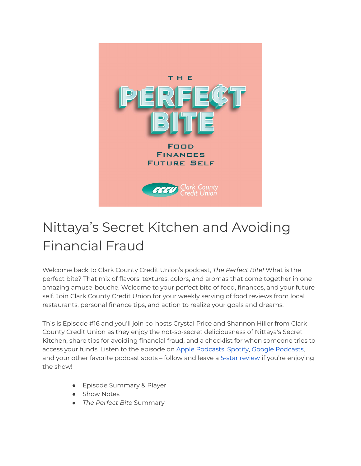

# Nittaya's Secret Kitchen and Avoiding Financial Fraud

Welcome back to Clark County Credit Union's podcast, *The Perfect Bite!* What is the perfect bite? That mix of flavors, textures, colors, and aromas that come together in one amazing amuse-bouche. Welcome to your perfect bite of food, finances, and your future self. Join Clark County Credit Union for your weekly serving of food reviews from local restaurants, personal finance tips, and action to realize your goals and dreams.

This is Episode #16 and you'll join co-hosts Crystal Price and Shannon Hiller from Clark County Credit Union as they enjoy the not-so-secret deliciousness of Nittaya's Secret Kitchen, share tips for avoiding financial fraud, and a checklist for when someone tries to access your funds. Listen to the episode on Apple [Podcasts,](https://podcasts.apple.com/us/podcast/the-perfect-bite/id1604656448) [Spotify](https://open.spotify.com/show/7tNPJZBNHabGWEFmjnHaxR?si=a0a7808911264628), Google [Podcasts](https://podcasts.google.com/feed/aHR0cHM6Ly9wZXJmZWN0Yml0ZS5saWJzeW4uY29tL3Jzcw?sa=X&ved=0CAMQ4aUDahcKEwi47ZHlgPP1AhUAAAAAHQAAAAAQRA), and your other favorite podcast spots – follow and leave a 5-star [review](https://podcasts.apple.com/us/podcast/the-perfect-bite/id1604656448) if you're enjoying the show!

- Episode Summary & Player
- Show Notes
- *The Perfect Bite* Summary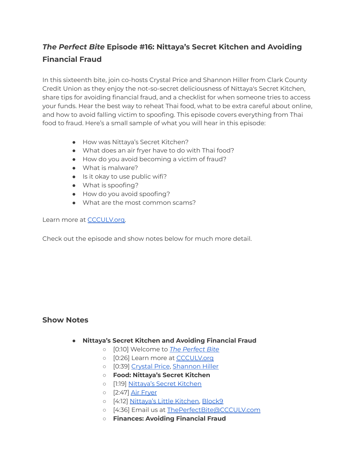# *The Perfect Bite* **Episode #16: Nittaya's Secret Kitchen and Avoiding Financial Fraud**

In this sixteenth bite, join co-hosts Crystal Price and Shannon Hiller from Clark County Credit Union as they enjoy the not-so-secret deliciousness of Nittaya's Secret Kitchen, share tips for avoiding financial fraud, and a checklist for when someone tries to access your funds. Hear the best way to reheat Thai food, what to be extra careful about online, and how to avoid falling victim to spoofing. This episode covers everything from Thai food to fraud. Here's a small sample of what you will hear in this episode:

- How was Nittaya's Secret Kitchen?
- What does an air fryer have to do with Thai food?
- How do you avoid becoming a victim of fraud?
- What is malware?
- Is it okay to use public wifi?
- What is spoofing?
- How do you avoid spoofing?
- What are the most common scams?

#### Learn more at [CCCULV.org.](https://www.ccculv.org/)

Check out the episode and show notes below for much more detail.

### **Show Notes**

- **Nittaya's Secret Kitchen and Avoiding Financial Fraud**
	- [0:10] Welcome to *[The Perfect Bite](https://www.ccculv.org/)*
	- o [0:26] Learn more at **[CCCULV.org](https://www.ccculv.org/)**
	- [0:39] [Crystal Price](https://www.ccculv.org/Our-Mission.aspx), [Shannon Hiller](https://www.ccculv.org/Our-Mission.aspx)
	- **○ Food: Nittaya's Secret Kitchen**
	- [1:19] [Nittaya's Secret Kitchen](https://www.nittayassecretkitchen.com/)
	- [2:47] [Air Fryer](https://www.foodnetwork.com/how-to/packages/shopping/product-reviews/best-air-fryer)
	- o [4:12] [Nittaya's Little Kitchen,](https://www.nittayaslittlekitchen.com/) [Block9](https://www.block9thai.com/)
	- [4:36] Email us at [ThePerfectBite@CCCULV.com](mailto:ThePerfectBite@CCCULV.org)
	- **○ Finances: Avoiding Financial Fraud**